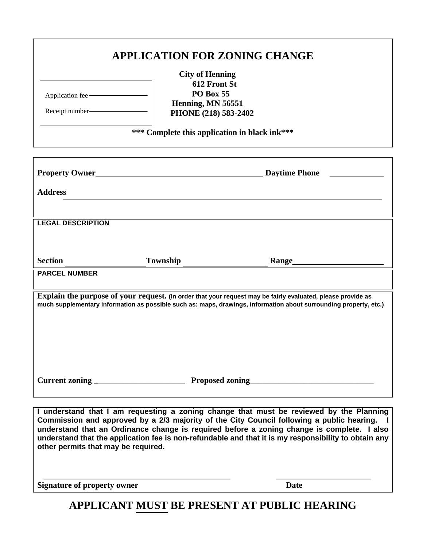| <b>APPLICATION FOR ZONING CHANGE</b>                                                                                                                                                                                                                                                                                                                                                                                                     |                        |                                           |  |  |  |
|------------------------------------------------------------------------------------------------------------------------------------------------------------------------------------------------------------------------------------------------------------------------------------------------------------------------------------------------------------------------------------------------------------------------------------------|------------------------|-------------------------------------------|--|--|--|
|                                                                                                                                                                                                                                                                                                                                                                                                                                          | <b>City of Henning</b> |                                           |  |  |  |
|                                                                                                                                                                                                                                                                                                                                                                                                                                          | 612 Front St           |                                           |  |  |  |
|                                                                                                                                                                                                                                                                                                                                                                                                                                          | <b>PO Box 55</b>       |                                           |  |  |  |
| Application fee                                                                                                                                                                                                                                                                                                                                                                                                                          | Henning, MN 56551      |                                           |  |  |  |
| Receipt number-                                                                                                                                                                                                                                                                                                                                                                                                                          | PHONE (218) 583-2402   |                                           |  |  |  |
|                                                                                                                                                                                                                                                                                                                                                                                                                                          |                        |                                           |  |  |  |
| *** Complete this application in black ink***                                                                                                                                                                                                                                                                                                                                                                                            |                        |                                           |  |  |  |
|                                                                                                                                                                                                                                                                                                                                                                                                                                          |                        |                                           |  |  |  |
|                                                                                                                                                                                                                                                                                                                                                                                                                                          |                        | <b>Property Owner</b> Phone Daytime Phone |  |  |  |
|                                                                                                                                                                                                                                                                                                                                                                                                                                          |                        |                                           |  |  |  |
| <b>Address</b>                                                                                                                                                                                                                                                                                                                                                                                                                           |                        |                                           |  |  |  |
|                                                                                                                                                                                                                                                                                                                                                                                                                                          |                        |                                           |  |  |  |
|                                                                                                                                                                                                                                                                                                                                                                                                                                          |                        |                                           |  |  |  |
| <b>LEGAL DESCRIPTION</b>                                                                                                                                                                                                                                                                                                                                                                                                                 |                        |                                           |  |  |  |
|                                                                                                                                                                                                                                                                                                                                                                                                                                          |                        |                                           |  |  |  |
|                                                                                                                                                                                                                                                                                                                                                                                                                                          |                        |                                           |  |  |  |
|                                                                                                                                                                                                                                                                                                                                                                                                                                          |                        |                                           |  |  |  |
| <b>Section</b>                                                                                                                                                                                                                                                                                                                                                                                                                           | Township               | <b>Range</b>                              |  |  |  |
|                                                                                                                                                                                                                                                                                                                                                                                                                                          |                        |                                           |  |  |  |
| <b>PARCEL NUMBER</b>                                                                                                                                                                                                                                                                                                                                                                                                                     |                        |                                           |  |  |  |
|                                                                                                                                                                                                                                                                                                                                                                                                                                          |                        |                                           |  |  |  |
| Explain the purpose of your request. (In order that your request may be fairly evaluated, please provide as<br>much supplementary information as possible such as: maps, drawings, information about surrounding property, etc.)                                                                                                                                                                                                         |                        |                                           |  |  |  |
|                                                                                                                                                                                                                                                                                                                                                                                                                                          |                        |                                           |  |  |  |
|                                                                                                                                                                                                                                                                                                                                                                                                                                          |                        |                                           |  |  |  |
|                                                                                                                                                                                                                                                                                                                                                                                                                                          |                        |                                           |  |  |  |
|                                                                                                                                                                                                                                                                                                                                                                                                                                          |                        |                                           |  |  |  |
|                                                                                                                                                                                                                                                                                                                                                                                                                                          |                        |                                           |  |  |  |
|                                                                                                                                                                                                                                                                                                                                                                                                                                          |                        |                                           |  |  |  |
|                                                                                                                                                                                                                                                                                                                                                                                                                                          |                        |                                           |  |  |  |
|                                                                                                                                                                                                                                                                                                                                                                                                                                          |                        |                                           |  |  |  |
|                                                                                                                                                                                                                                                                                                                                                                                                                                          |                        |                                           |  |  |  |
|                                                                                                                                                                                                                                                                                                                                                                                                                                          |                        |                                           |  |  |  |
| I understand that I am requesting a zoning change that must be reviewed by the Planning<br>Commission and approved by a 2/3 majority of the City Council following a public hearing.<br>- 1<br>understand that an Ordinance change is required before a zoning change is complete. I also<br>understand that the application fee is non-refundable and that it is my responsibility to obtain any<br>other permits that may be required. |                        |                                           |  |  |  |

**Signature of property owner Date**

**APPLICANT MUST BE PRESENT AT PUBLIC HEARING**